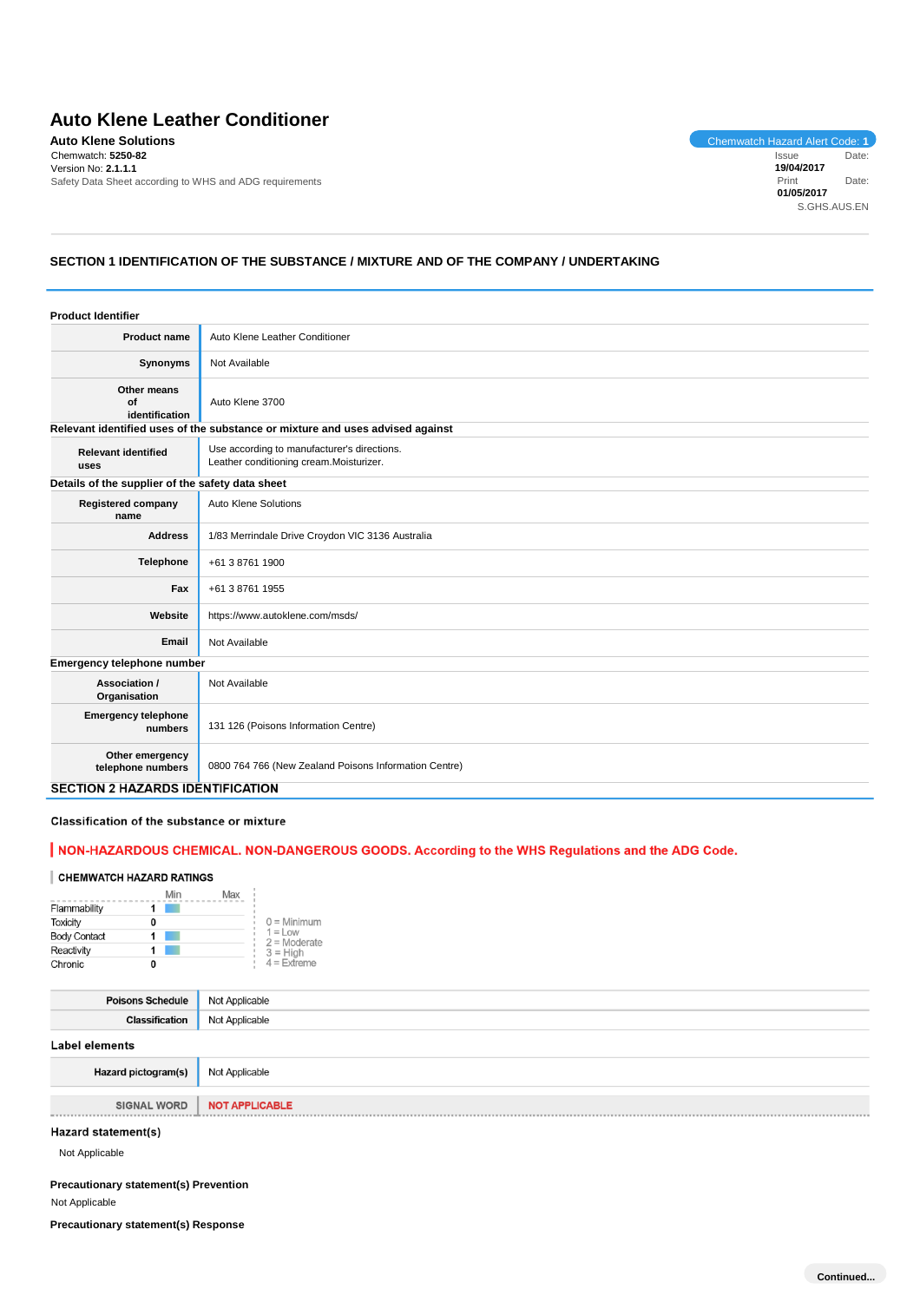# **Auto Klene Leather Conditioner**

**Auto Klene Solutions**<br>
Chemwatch: 5250-82<br>
Chemwatch: 5250-82<br>
Chemwatch: 5250-82 Chemwatch: **5250-82** Version No: **2.1.1.1** Safety Data Sheet according to WHS and ADG requirements

Issue Date: **19/04/2017** Print Date: **01/05/2017** S.GHS.AUS.EN

## **SECTION 1 IDENTIFICATION OF THE SUBSTANCE / MIXTURE AND OF THE COMPANY / UNDERTAKING**

| <b>Product Identifier</b>                        |                                                                                                  |  |
|--------------------------------------------------|--------------------------------------------------------------------------------------------------|--|
| <b>Product name</b>                              | Auto Klene Leather Conditioner                                                                   |  |
| Synonyms                                         | Not Available                                                                                    |  |
| Other means<br>of<br>identification              | Auto Klene 3700<br>Relevant identified uses of the substance or mixture and uses advised against |  |
|                                                  |                                                                                                  |  |
| <b>Relevant identified</b><br>uses               | Use according to manufacturer's directions.<br>Leather conditioning cream.Moisturizer.           |  |
| Details of the supplier of the safety data sheet |                                                                                                  |  |
| <b>Registered company</b><br>name                | <b>Auto Klene Solutions</b>                                                                      |  |
| <b>Address</b>                                   | 1/83 Merrindale Drive Croydon VIC 3136 Australia                                                 |  |
| <b>Telephone</b>                                 | +61 3 8761 1900                                                                                  |  |
| Fax                                              | +61 3 8761 1955                                                                                  |  |
| Website                                          | https://www.autoklene.com/msds/                                                                  |  |
| Email                                            | Not Available                                                                                    |  |
| Emergency telephone number                       |                                                                                                  |  |
| Association /<br>Organisation                    | Not Available                                                                                    |  |
| <b>Emergency telephone</b><br>numbers            | 131 126 (Poisons Information Centre)                                                             |  |
| Other emergency<br>telephone numbers             | 0800 764 766 (New Zealand Poisons Information Centre)                                            |  |
| <b>SECTION 2 HAZARDS IDENTIFICATION</b>          |                                                                                                  |  |

## Classification of the substance or mixture

## | NON-HAZARDOUS CHEMICAL. NON-DANGEROUS GOODS. According to the WHS Regulations and the ADG Code.

#### **CHEMWATCH HAZARD RATINGS**

|                     | Min | Max |                              |
|---------------------|-----|-----|------------------------------|
| Flammability        |     |     |                              |
| <b>Toxicity</b>     | 0   |     | $0 =$ Minimum                |
| <b>Body Contact</b> |     |     | $1 = L$ ow<br>$2 =$ Moderate |
| Reactivity          |     |     | $3 = High$                   |
| Chronic             | 0   |     | $4$ = Extreme                |

| Poisons Schedule      | Not Applicable |
|-----------------------|----------------|
| <b>Classification</b> | Not Applicable |
| <b>Label elements</b> |                |
| Hazard pictogram(s)   | Not Applicable |

**SIGNAL WORD NOT APPLICABLE** 

## Hazard statement(s)

Not Applicable

--------------

### **Precautionary statement(s) Prevention**

Not Applicable

**Precautionary statement(s) Response**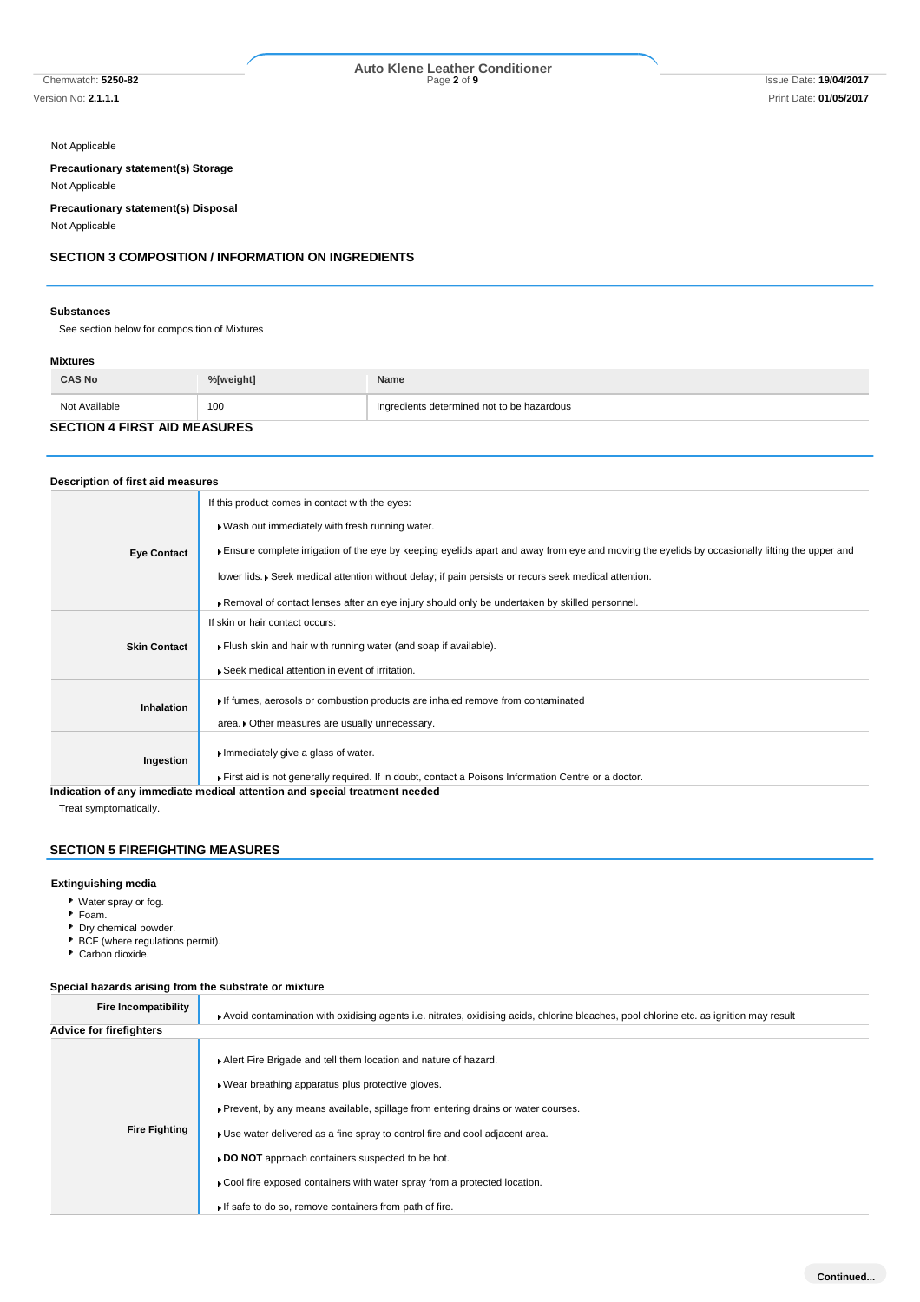# Chemwatch: **5250-82** Page **2** of **9** Issue Date: **19/04/2017 Auto Klene Leather Conditioner**

Not Applicable

**Precautionary statement(s) Storage**

Not Applicable

**Precautionary statement(s) Disposal**

Not Applicable

## **SECTION 3 COMPOSITION / INFORMATION ON INGREDIENTS**

#### **Substances**

See section below for composition of Mixtures

## **Mixtures**

| <b>CAS No</b>                       | %[weight] | Name                                       |  |
|-------------------------------------|-----------|--------------------------------------------|--|
| Not Available                       | 100       | Ingredients determined not to be hazardous |  |
| <b>SECTION 4 FIRST AID MEASURES</b> |           |                                            |  |

## **Description of first aid measures**

|                     | If this product comes in contact with the eyes:                                                                                                                           |
|---------------------|---------------------------------------------------------------------------------------------------------------------------------------------------------------------------|
|                     | . Wash out immediately with fresh running water.                                                                                                                          |
| <b>Eye Contact</b>  | Ensure complete irrigation of the eye by keeping eyelids apart and away from eye and moving the eyelids by occasionally lifting the upper and                             |
|                     | lower lids. • Seek medical attention without delay; if pain persists or recurs seek medical attention.                                                                    |
|                     | Removal of contact lenses after an eye injury should only be undertaken by skilled personnel.                                                                             |
|                     | If skin or hair contact occurs:                                                                                                                                           |
| <b>Skin Contact</b> | Flush skin and hair with running water (and soap if available).                                                                                                           |
|                     | ▶ Seek medical attention in event of irritation.                                                                                                                          |
| <b>Inhalation</b>   | If fumes, aerosols or combustion products are inhaled remove from contaminated                                                                                            |
|                     | area. Other measures are usually unnecessary.                                                                                                                             |
| Ingestion           | Immediately give a glass of water.                                                                                                                                        |
|                     | First aid is not generally required. If in doubt, contact a Poisons Information Centre or a doctor.<br>والمساوية والمستحدث ومسترقص والمتناسب والمستحدث والمستلقات المستال |

**Indication of any immediate medical attention and special treatment needed**

Treat symptomatically.

## **SECTION 5 FIREFIGHTING MEASURES**

#### **Extinguishing media**

- Water spray or fog.
- Foam.
- Dry chemical powder.
- BCF (where regulations permit).
- Carbon dioxide.

## **Special hazards arising from the substrate or mixture**

| Fire Incompatibility    | Avoid contamination with oxidising agents i.e. nitrates, oxidising acids, chlorine bleaches, pool chlorine etc. as ignition may result                                                                                                                                                                                                                                                                                                                                                  |
|-------------------------|-----------------------------------------------------------------------------------------------------------------------------------------------------------------------------------------------------------------------------------------------------------------------------------------------------------------------------------------------------------------------------------------------------------------------------------------------------------------------------------------|
| Advice for firefighters |                                                                                                                                                                                                                                                                                                                                                                                                                                                                                         |
| <b>Fire Fighting</b>    | Alert Fire Brigade and tell them location and nature of hazard.<br>▶ Wear breathing apparatus plus protective gloves.<br>Prevent, by any means available, spillage from entering drains or water courses.<br>• Use water delivered as a fine spray to control fire and cool adjacent area.<br>► DO NOT approach containers suspected to be hot.<br>► Cool fire exposed containers with water spray from a protected location.<br>If safe to do so, remove containers from path of fire. |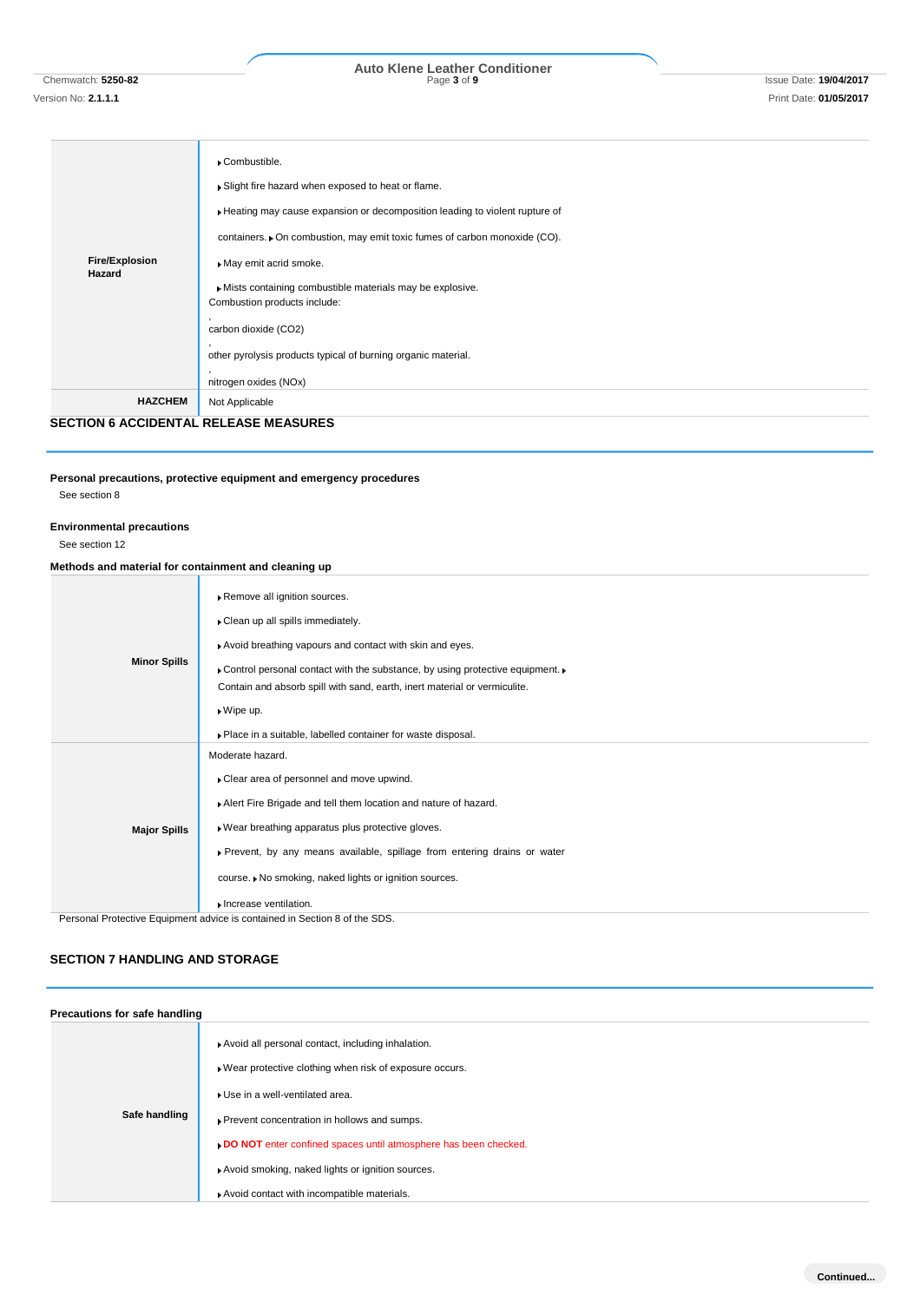# Chemwatch: **5250-82** Page **3** of **9** Issue Date: **19/04/2017 Auto Klene Leather Conditioner**

## **Fire/Explosion Hazard** Combustible. Slight fire hazard when exposed to heat or flame. Heating may cause expansion or decomposition leading to violent rupture of containers.  $\blacktriangleright$  On combustion, may emit toxic fumes of carbon monoxide (CO). May emit acrid smoke. Mists containing combustible materials may be explosive. Combustion products include: , carbon dioxide (CO2) , other pyrolysis products typical of burning organic material. , nitrogen oxides (NOx) **HAZCHEM** Not Applicable

**SECTION 6 ACCIDENTAL RELEASE MEASURES**

#### **Personal precautions, protective equipment and emergency procedures** See section 8

# **Environmental precautions**

See section 12

## **Methods and material for containment and cleaning up**

|                     | Remove all ignition sources.                                                                     |
|---------------------|--------------------------------------------------------------------------------------------------|
|                     | Clean up all spills immediately.                                                                 |
|                     | Avoid breathing vapours and contact with skin and eyes.                                          |
| <b>Minor Spills</b> | • Control personal contact with the substance, by using protective equipment.                    |
|                     | Contain and absorb spill with sand, earth, inert material or vermiculite.                        |
|                     | $\bullet$ Wipe up.                                                                               |
|                     | . Place in a suitable, labelled container for waste disposal.                                    |
|                     | Moderate hazard.                                                                                 |
|                     | Clear area of personnel and move upwind.                                                         |
| <b>Major Spills</b> | Alert Fire Brigade and tell them location and nature of hazard.                                  |
|                     | » Wear breathing apparatus plus protective gloves.                                               |
|                     | ▶ Prevent, by any means available, spillage from entering drains or water                        |
|                     | course. • No smoking, naked lights or ignition sources.                                          |
|                     | Increase ventilation.<br>Despend Dretestive Equipment educe in contained in Continua def the CDC |

nal Protective Equipment advice is contained in Section 8 of the SDS

## **SECTION 7 HANDLING AND STORAGE**

| Precautions for safe handling |                                                                                                                                                                                                                                                                                                                       |
|-------------------------------|-----------------------------------------------------------------------------------------------------------------------------------------------------------------------------------------------------------------------------------------------------------------------------------------------------------------------|
| Safe handling                 | Avoid all personal contact, including inhalation.<br>▶ Wear protective clothing when risk of exposure occurs.<br>Use in a well-ventilated area.<br>Prevent concentration in hollows and sumps.<br>DO NOT enter confined spaces until atmosphere has been checked.<br>Avoid smoking, naked lights or ignition sources. |
|                               | Avoid contact with incompatible materials.                                                                                                                                                                                                                                                                            |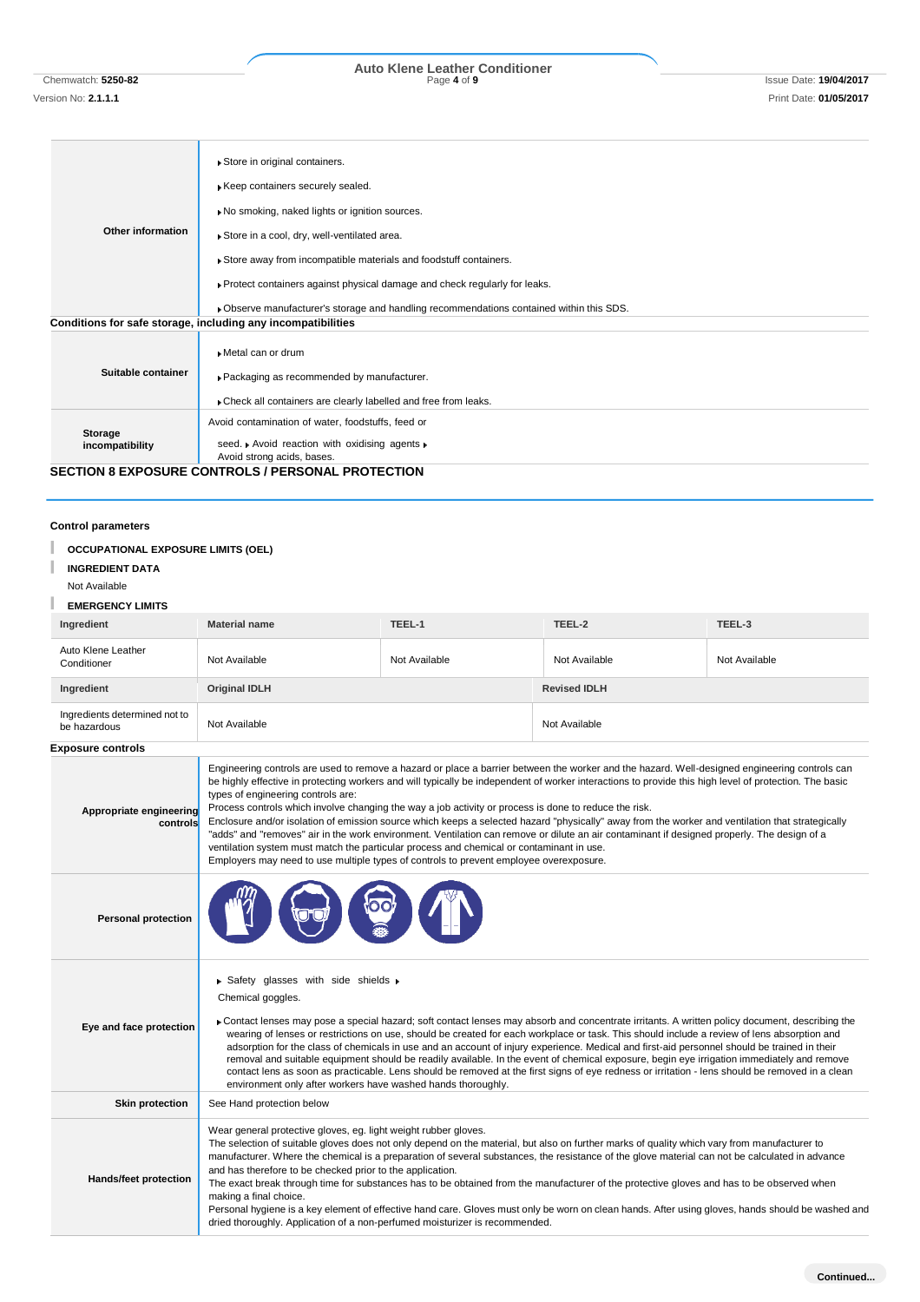Chemwatch: **5250-82** Page **4** of **9** Issue Date: **19/04/2017 Auto Klene Leather Conditioner**

# **Other information** Store in original containers. **Keep containers securely sealed.** No smoking, naked lights or ignition sources. Store in a cool, dry, well-ventilated area. Store away from incompatible materials and foodstuff containers. Protect containers against physical damage and check regularly for leaks. Observe manufacturer's storage and handling recommendations contained within this SDS. **Conditions for safe storage, including any incompatibilities**

|                    | ▶ Metal can or drum                                            |
|--------------------|----------------------------------------------------------------|
| Suitable container | ▶ Packaging as recommended by manufacturer.                    |
|                    | Check all containers are clearly labelled and free from leaks. |
|                    | Avoid contamination of water, foodstuffs, feed or              |
| Storage            | seed. Avoid reaction with oxidising agents »                   |
| incompatibility    | Avoid strong acids, bases.                                     |
|                    | <b>SECTION 8 EXPOSURE CONTROLS / PERSONAL PROTECTION</b>       |

#### **Control parameters**

| <b>OCCUPATIONAL EXPOSURE LIMITS (OEL)</b>     |                                                                                                                                                                                                                                                                                                                                                                                                                                                                                                                                                                                                                                                                                                                                                                                                                                                                                                                                                 |               |                     |               |  |  |
|-----------------------------------------------|-------------------------------------------------------------------------------------------------------------------------------------------------------------------------------------------------------------------------------------------------------------------------------------------------------------------------------------------------------------------------------------------------------------------------------------------------------------------------------------------------------------------------------------------------------------------------------------------------------------------------------------------------------------------------------------------------------------------------------------------------------------------------------------------------------------------------------------------------------------------------------------------------------------------------------------------------|---------------|---------------------|---------------|--|--|
| <b>INGREDIENT DATA</b><br>Not Available       |                                                                                                                                                                                                                                                                                                                                                                                                                                                                                                                                                                                                                                                                                                                                                                                                                                                                                                                                                 |               |                     |               |  |  |
| <b>EMERGENCY LIMITS</b>                       |                                                                                                                                                                                                                                                                                                                                                                                                                                                                                                                                                                                                                                                                                                                                                                                                                                                                                                                                                 |               |                     |               |  |  |
| Ingredient                                    | TEEL-1<br>TEEL-2<br>TEEL-3<br><b>Material name</b>                                                                                                                                                                                                                                                                                                                                                                                                                                                                                                                                                                                                                                                                                                                                                                                                                                                                                              |               |                     |               |  |  |
| Auto Klene Leather<br>Conditioner             | Not Available                                                                                                                                                                                                                                                                                                                                                                                                                                                                                                                                                                                                                                                                                                                                                                                                                                                                                                                                   | Not Available | Not Available       | Not Available |  |  |
| Ingredient                                    | <b>Original IDLH</b>                                                                                                                                                                                                                                                                                                                                                                                                                                                                                                                                                                                                                                                                                                                                                                                                                                                                                                                            |               | <b>Revised IDLH</b> |               |  |  |
| Ingredients determined not to<br>be hazardous | Not Available                                                                                                                                                                                                                                                                                                                                                                                                                                                                                                                                                                                                                                                                                                                                                                                                                                                                                                                                   |               | Not Available       |               |  |  |
| Exposure controls                             |                                                                                                                                                                                                                                                                                                                                                                                                                                                                                                                                                                                                                                                                                                                                                                                                                                                                                                                                                 |               |                     |               |  |  |
| Appropriate engineering<br>controls           | Engineering controls are used to remove a hazard or place a barrier between the worker and the hazard. Well-designed engineering controls can<br>be highly effective in protecting workers and will typically be independent of worker interactions to provide this high level of protection. The basic<br>types of engineering controls are:<br>Process controls which involve changing the way a job activity or process is done to reduce the risk.<br>Enclosure and/or isolation of emission source which keeps a selected hazard "physically" away from the worker and ventilation that strategically<br>"adds" and "removes" air in the work environment. Ventilation can remove or dilute an air contaminant if designed properly. The design of a<br>ventilation system must match the particular process and chemical or contaminant in use.<br>Employers may need to use multiple types of controls to prevent employee overexposure. |               |                     |               |  |  |
| <b>Personal protection</b>                    |                                                                                                                                                                                                                                                                                                                                                                                                                                                                                                                                                                                                                                                                                                                                                                                                                                                                                                                                                 |               |                     |               |  |  |
| Eye and face protection                       | $\triangleright$ Safety glasses with side shields $\triangleright$<br>Chemical goggles.<br>• Contact lenses may pose a special hazard; soft contact lenses may absorb and concentrate irritants. A written policy document, describing the<br>wearing of lenses or restrictions on use, should be created for each workplace or task. This should include a review of lens absorption and<br>adsorption for the class of chemicals in use and an account of injury experience. Medical and first-aid personnel should be trained in their<br>removal and suitable equipment should be readily available. In the event of chemical exposure, begin eye irrigation immediately and remove<br>contact lens as soon as practicable. Lens should be removed at the first signs of eye redness or irritation - lens should be removed in a clean<br>environment only after workers have washed hands thoroughly.                                      |               |                     |               |  |  |
| <b>Skin protection</b>                        | See Hand protection below                                                                                                                                                                                                                                                                                                                                                                                                                                                                                                                                                                                                                                                                                                                                                                                                                                                                                                                       |               |                     |               |  |  |
| Hands/feet protection                         | Wear general protective gloves, eg. light weight rubber gloves.<br>The selection of suitable gloves does not only depend on the material, but also on further marks of quality which vary from manufacturer to<br>manufacturer. Where the chemical is a preparation of several substances, the resistance of the glove material can not be calculated in advance<br>and has therefore to be checked prior to the application.<br>The exact break through time for substances has to be obtained from the manufacturer of the protective gloves and has to be observed when<br>making a final choice.<br>Personal hygiene is a key element of effective hand care. Gloves must only be worn on clean hands. After using gloves, hands should be washed and<br>dried thoroughly. Application of a non-perfumed moisturizer is recommended.                                                                                                        |               |                     |               |  |  |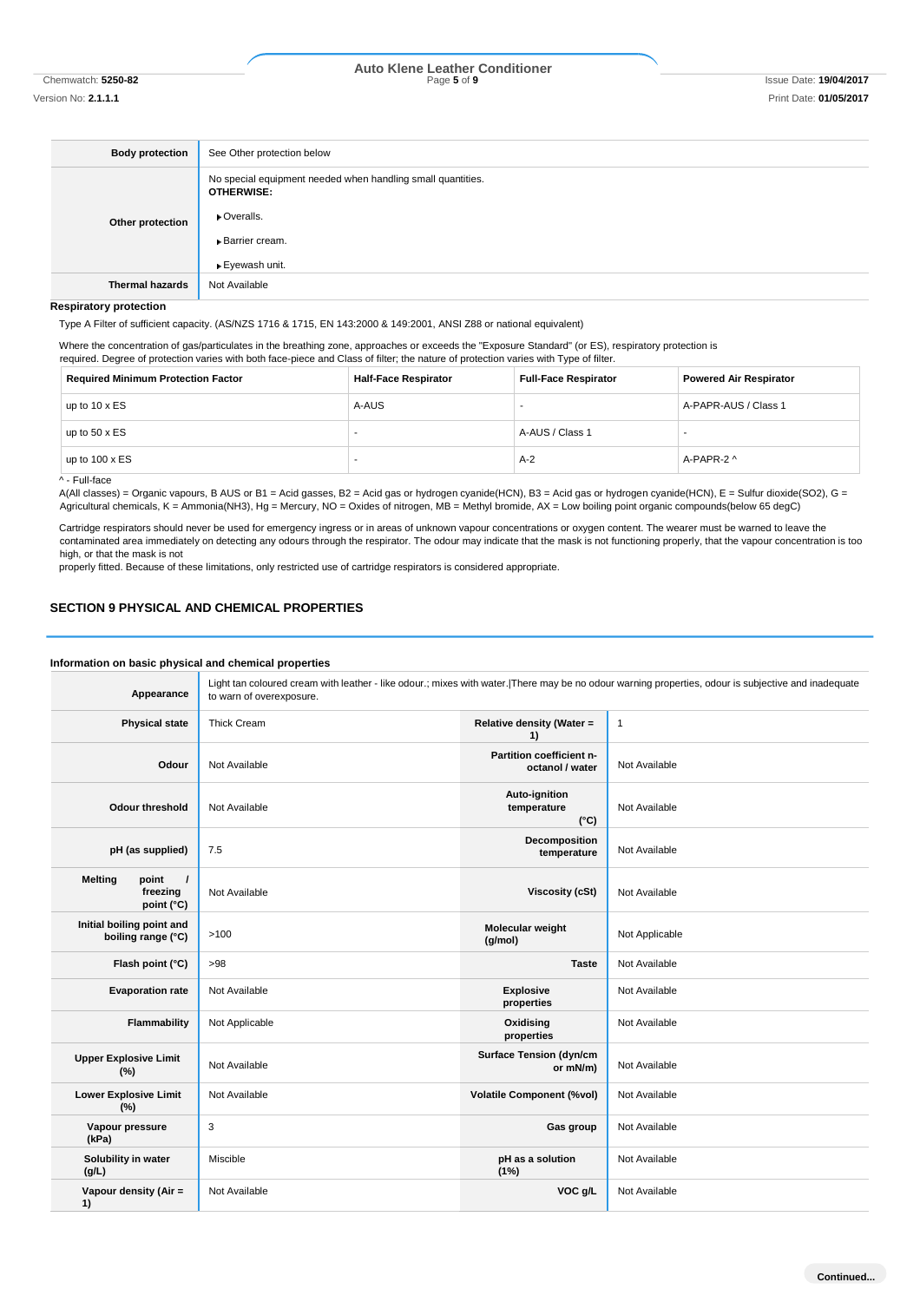# Chemwatch: **5250-82** Page **5** of **9** Issue Date: **19/04/2017 Auto Klene Leather Conditioner**

| <b>Body protection</b> | See Other protection below                                                       |
|------------------------|----------------------------------------------------------------------------------|
| Other protection       | No special equipment needed when handling small quantities.<br><b>OTHERWISE:</b> |
|                        | • Overalls.                                                                      |
|                        | <b>Barrier cream.</b>                                                            |
|                        | ▶ Eyewash unit.                                                                  |
| <b>Thermal hazards</b> | Not Available                                                                    |

**Respiratory protection**

Type A Filter of sufficient capacity. (AS/NZS 1716 & 1715, EN 143:2000 & 149:2001, ANSI Z88 or national equivalent)

Where the concentration of gas/particulates in the breathing zone, approaches or exceeds the "Exposure Standard" (or ES), respiratory protection is required. Degree of protection varies with both face-piece and Class of filter; the nature of protection varies with Type of filter.

| <b>Required Minimum Protection Factor</b> | <b>Half-Face Respirator</b> | <b>Full-Face Respirator</b> | <b>Powered Air Respirator</b> |  |
|-------------------------------------------|-----------------------------|-----------------------------|-------------------------------|--|
| up to $10 \times ES$                      | A-AUS                       |                             | A-PAPR-AUS / Class 1          |  |
| up to $50 \times ES$                      |                             | A-AUS / Class 1             |                               |  |
| up to $100 \times ES$                     |                             | $A-2$                       | A-PAPR-2 ^                    |  |
| A - Full-face                             |                             |                             |                               |  |

A(All classes) = Organic vapours, B AUS or B1 = Acid gasses, B2 = Acid gas or hydrogen cyanide(HCN), B3 = Acid gas or hydrogen cyanide(HCN), E = Sulfur dioxide(SO2), G = Agricultural chemicals, K = Ammonia(NH3), Hg = Mercury, NO = Oxides of nitrogen, MB = Methyl bromide, AX = Low boiling point organic compounds(below 65 degC)

Cartridge respirators should never be used for emergency ingress or in areas of unknown vapour concentrations or oxygen content. The wearer must be warned to leave the contaminated area immediately on detecting any odours through the respirator. The odour may indicate that the mask is not functioning properly, that the vapour concentration is too high, or that the mask is not

properly fitted. Because of these limitations, only restricted use of cartridge respirators is considered appropriate.

## **SECTION 9 PHYSICAL AND CHEMICAL PROPERTIES**

#### **Information on basic physical and chemical properties Appearance** Light tan coloured cream with leather - like odour.; mixes with water.|There may be no odour warning properties, odour is subjective and inadequate to warn of overexposure. **Physical state** Thick Cream **Relative density (Water =**  $\sqrt{R}$  **Relative density (Water =**  $\sqrt{R}$ **1)** 1 **Odour** Not Available **Partition coefficient noctanol / water** Not Available **Odour threshold** Not Available **Auto-ignition temperature (°C)** Not Available **pH (as supplied)** 7.5 **Decomposition temperature** Not Available **Melting** point **freezing point (°C) Not Available <b>Viscosity (cSt)** Not Available **Initial boiling point and boiling point and**  $\begin{bmatrix} 1 & 0 & 0 \\ 0 & 0 & 0 \\ 0 & 0 & 0 \end{bmatrix}$  >100 **Molecular weight Molecular weight (g/mol) Not Applicable Flash point (°C)** >98 **Taste** Not Available **Evaporation rate** Not Available **Explosive Explosive Explosive properties** Not Available **Flammability** Not Applicable **Construction Applicable Oxidising properties** Not Available **Upper Explosive Limit Not Available Surface Tension (dyn/cm or mN/m)** Not Available **Lower Explosive Limit (%)** Not Available **Volatile Component (%vol)** Not Available **Vapour pressure (kPa) Gas group** Not Available **Solubility in water (g/L)** Miscible **pH as a solution (1%)** Not Available **Vapour density (Air = 1) Not Available <b>VOC g/L** Not Available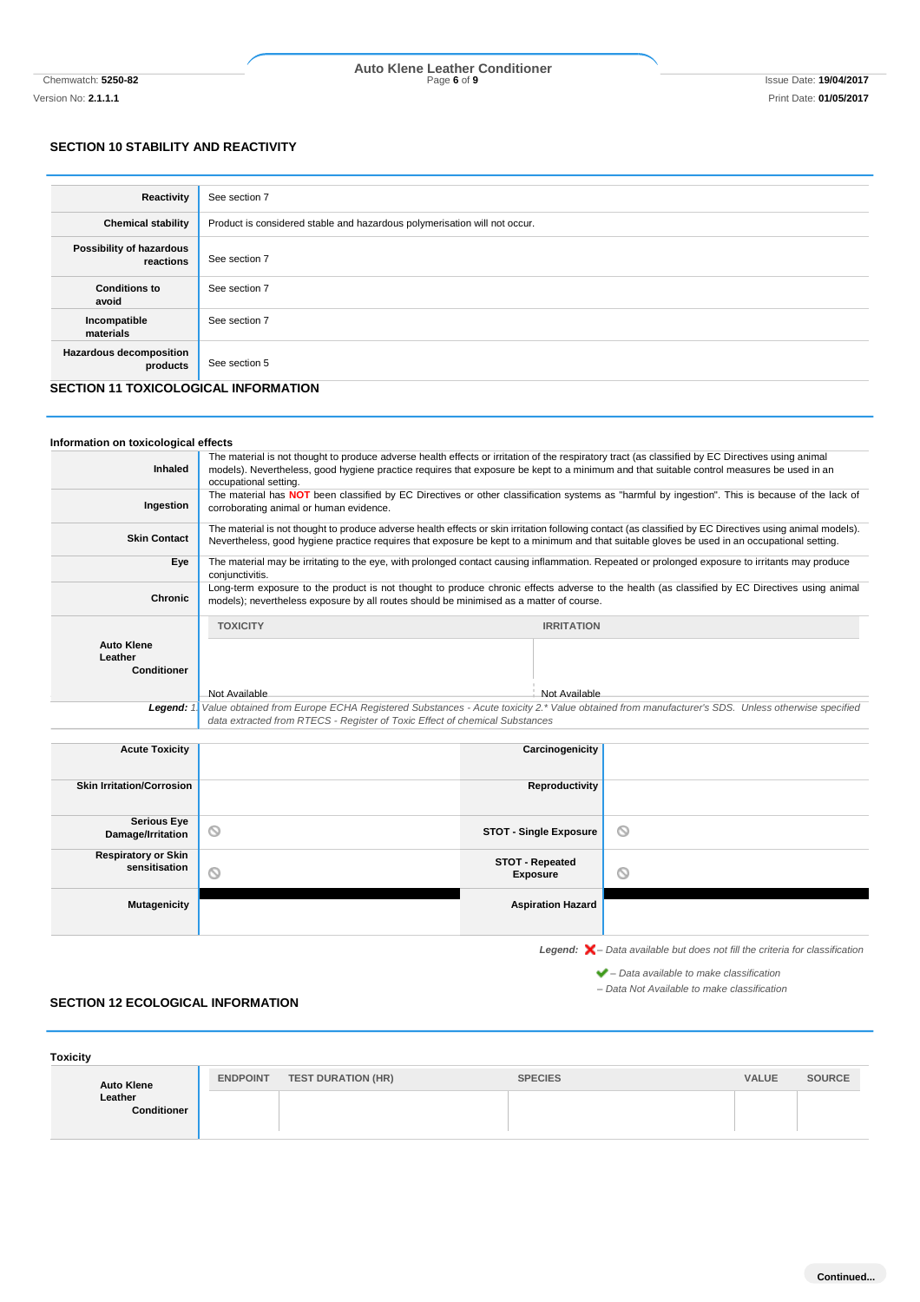# Chemwatch: **5250-82** Page **6** of **9** Issue Date: **19/04/2017 Auto Klene Leather Conditioner**

## **SECTION 10 STABILITY AND REACTIVITY**

| Reactivity                                 | See section 7                                                             |
|--------------------------------------------|---------------------------------------------------------------------------|
| <b>Chemical stability</b>                  | Product is considered stable and hazardous polymerisation will not occur. |
| Possibility of hazardous<br>reactions      | See section 7                                                             |
| <b>Conditions to</b><br>avoid              | See section 7                                                             |
| Incompatible<br>materials                  | See section 7                                                             |
| <b>Hazardous decomposition</b><br>products | See section 5                                                             |

## **SECTION 11 TOXICOLOGICAL INFORMATION**

| Information on toxicological effects               |                                                                                                                                                                                                                                                                                                                         |                                                                                                                                                 |                                                                                                                                                |  |
|----------------------------------------------------|-------------------------------------------------------------------------------------------------------------------------------------------------------------------------------------------------------------------------------------------------------------------------------------------------------------------------|-------------------------------------------------------------------------------------------------------------------------------------------------|------------------------------------------------------------------------------------------------------------------------------------------------|--|
| <b>Inhaled</b>                                     | The material is not thought to produce adverse health effects or irritation of the respiratory tract (as classified by EC Directives using animal<br>models). Nevertheless, good hygiene practice requires that exposure be kept to a minimum and that suitable control measures be used in an<br>occupational setting. |                                                                                                                                                 |                                                                                                                                                |  |
| Ingestion                                          | The material has NOT been classified by EC Directives or other classification systems as "harmful by ingestion". This is because of the lack of<br>corroborating animal or human evidence.                                                                                                                              |                                                                                                                                                 |                                                                                                                                                |  |
| <b>Skin Contact</b>                                | The material is not thought to produce adverse health effects or skin irritation following contact (as classified by EC Directives using animal models).<br>Nevertheless, good hygiene practice requires that exposure be kept to a minimum and that suitable gloves be used in an occupational setting.                |                                                                                                                                                 |                                                                                                                                                |  |
| Eye                                                | conjunctivitis.                                                                                                                                                                                                                                                                                                         | The material may be irritating to the eye, with prolonged contact causing inflammation. Repeated or prolonged exposure to irritants may produce |                                                                                                                                                |  |
| <b>Chronic</b>                                     | models); nevertheless exposure by all routes should be minimised as a matter of course.                                                                                                                                                                                                                                 |                                                                                                                                                 | Long-term exposure to the product is not thought to produce chronic effects adverse to the health (as classified by EC Directives using animal |  |
|                                                    | <b>TOXICITY</b>                                                                                                                                                                                                                                                                                                         | <b>IRRITATION</b>                                                                                                                               |                                                                                                                                                |  |
| <b>Auto Klene</b><br>Leather<br><b>Conditioner</b> |                                                                                                                                                                                                                                                                                                                         |                                                                                                                                                 |                                                                                                                                                |  |
|                                                    | Not Available                                                                                                                                                                                                                                                                                                           | Not Available                                                                                                                                   |                                                                                                                                                |  |
| Leaend: 1                                          | Value obtained from Europe ECHA Registered Substances - Acute toxicity 2.* Value obtained from manufacturer's SDS. Unless otherwise specified<br>data extracted from RTECS - Register of Toxic Effect of chemical Substances                                                                                            |                                                                                                                                                 |                                                                                                                                                |  |
| <b>Acute Toxicity</b>                              |                                                                                                                                                                                                                                                                                                                         | Carcinogenicity                                                                                                                                 |                                                                                                                                                |  |
| <b>Skin Irritation/Corrosion</b>                   |                                                                                                                                                                                                                                                                                                                         | Reproductivity                                                                                                                                  |                                                                                                                                                |  |
| <b>Serious Eye</b><br>Damage/Irritation            | ◎                                                                                                                                                                                                                                                                                                                       | <b>STOT - Single Exposure</b>                                                                                                                   | ◎                                                                                                                                              |  |
| <b>Respiratory or Skin</b><br>sensitisation        | ⊚                                                                                                                                                                                                                                                                                                                       | <b>STOT - Repeated</b><br><b>Exposure</b>                                                                                                       | ◎                                                                                                                                              |  |
| <b>Mutagenicity</b>                                |                                                                                                                                                                                                                                                                                                                         | <b>Aspiration Hazard</b>                                                                                                                        |                                                                                                                                                |  |
|                                                    |                                                                                                                                                                                                                                                                                                                         |                                                                                                                                                 | <b>Legend:</b> $\mathsf{X}$ – Data available but does not fill the criteria for classification                                                 |  |
|                                                    |                                                                                                                                                                                                                                                                                                                         |                                                                                                                                                 | $\blacktriangleright$ - Data available to make classification                                                                                  |  |

*– Data Not Available to make classification*

## **SECTION 12 ECOLOGICAL INFORMATION**

| <b>Toxicity</b>        |                 |                           |                |              |               |
|------------------------|-----------------|---------------------------|----------------|--------------|---------------|
| <b>Auto Klene</b>      | <b>ENDPOINT</b> | <b>TEST DURATION (HR)</b> | <b>SPECIES</b> | <b>VALUE</b> | <b>SOURCE</b> |
| Leather<br>Conditioner |                 |                           |                |              |               |
|                        |                 |                           |                |              |               |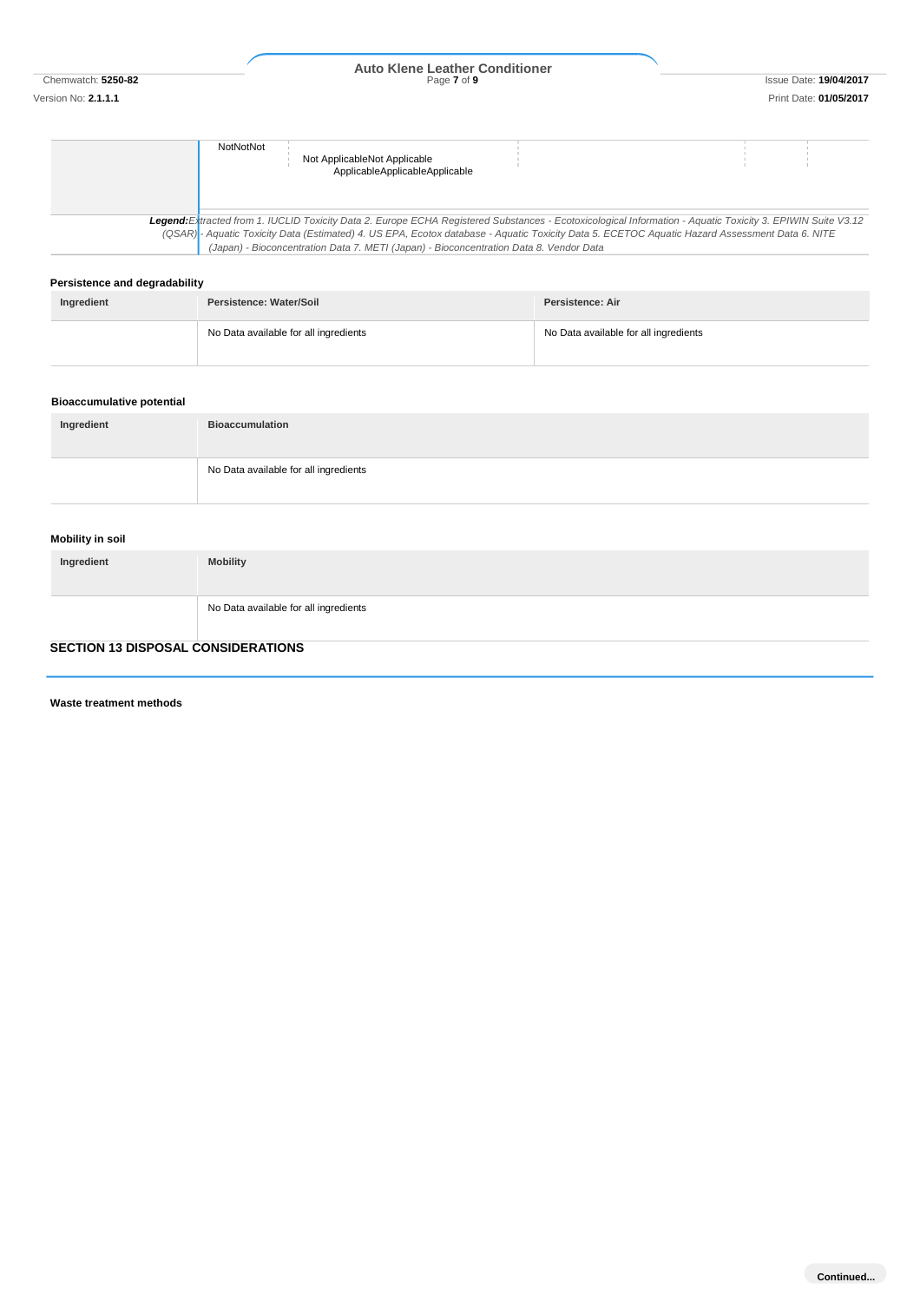# Chemwatch: **5250-82** Page **7** of **9** Issue Date: **19/04/2017 Auto Klene Leather Conditioner**

| <b>NotNotNot</b> |                                |                                                                                                                                                             |  |  |
|------------------|--------------------------------|-------------------------------------------------------------------------------------------------------------------------------------------------------------|--|--|
|                  | Not ApplicableNot Applicable   |                                                                                                                                                             |  |  |
|                  |                                |                                                                                                                                                             |  |  |
|                  | ApplicableApplicableApplicable |                                                                                                                                                             |  |  |
|                  |                                |                                                                                                                                                             |  |  |
|                  |                                |                                                                                                                                                             |  |  |
|                  |                                |                                                                                                                                                             |  |  |
|                  |                                |                                                                                                                                                             |  |  |
|                  |                                | Legend: Extracted from 1. IUCLID Toxicity Data 2. Europe ECHA Registered Substances - Ecotoxicological Information - Aquatic Toxicity 3. EPIWIN Suite V3.12 |  |  |
|                  |                                | (QSAR) - Aquatic Toxicity Data (Estimated) 4. US EPA, Ecotox database - Aquatic Toxicity Data 5. ECETOC Aquatic Hazard Assessment Data 6. NITE              |  |  |
|                  |                                | (Japan) - Bioconcentration Data 7. METI (Japan) - Bioconcentration Data 8. Vendor Data                                                                      |  |  |

## **Persistence and degradability**

| Ingredient | Persistence: Water/Soil               | Persistence: Air                      |  |
|------------|---------------------------------------|---------------------------------------|--|
|            | No Data available for all ingredients | No Data available for all ingredients |  |

## **Bioaccumulative potential**

| Ingredient | <b>Bioaccumulation</b>                |
|------------|---------------------------------------|
|            | No Data available for all ingredients |

## **Mobility in soil**

| Ingredient | <b>Mobility</b>                       |
|------------|---------------------------------------|
|            | No Data available for all ingredients |

## **SECTION 13 DISPOSAL CONSIDERATIONS**

**Waste treatment methods**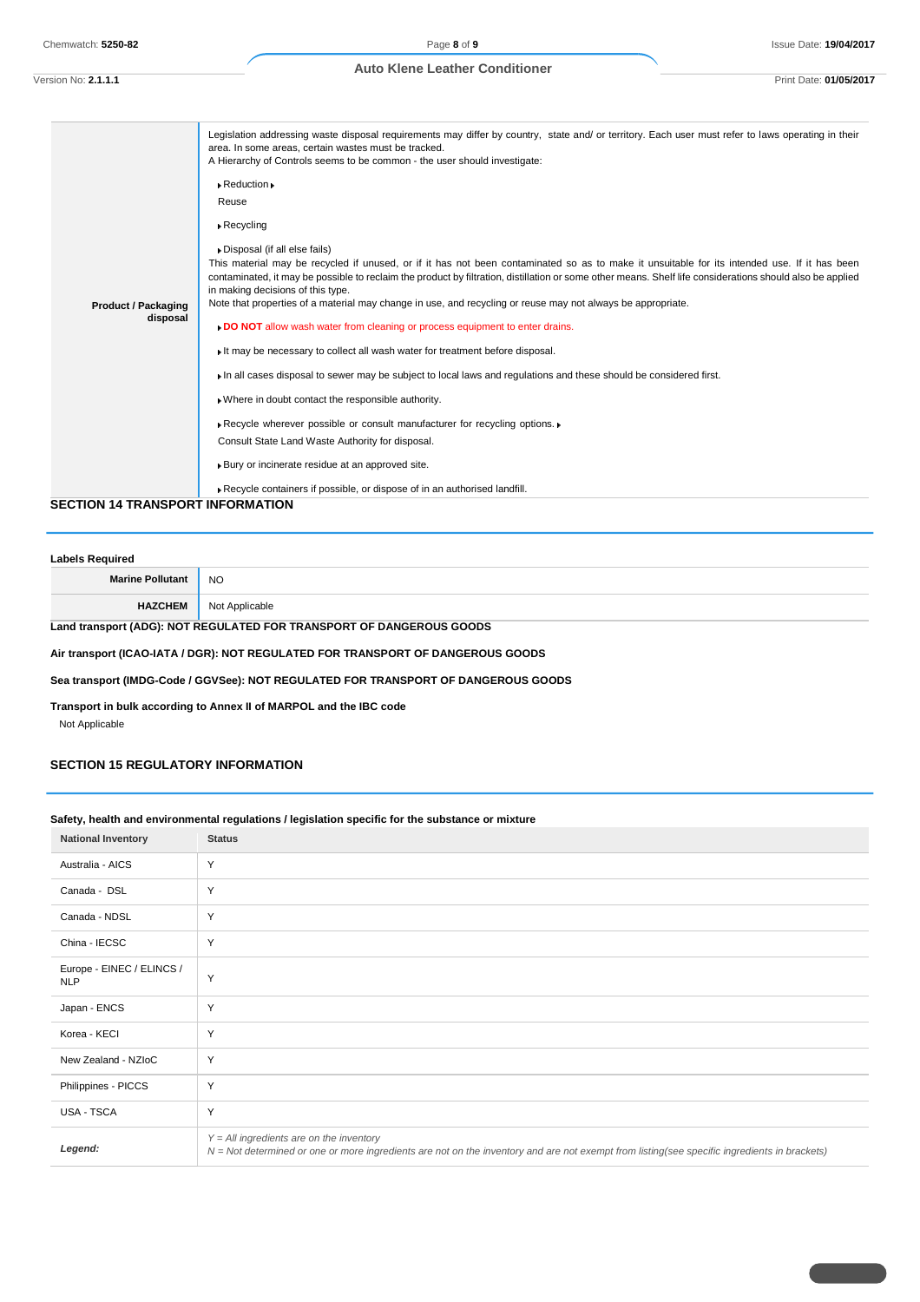```
Version No: 2.1.1.1 Print Date: 01/05/2017
```

| <b>Product / Packaging</b><br>disposal  | Legislation addressing waste disposal requirements may differ by country, state and/ or territory. Each user must refer to laws operating in their<br>area. In some areas, certain wastes must be tracked.<br>A Hierarchy of Controls seems to be common - the user should investigate:<br>$\triangleright$ Reduction $\triangleright$<br>Reuse<br>$\triangleright$ Recycling<br>Disposal (if all else fails)<br>This material may be recycled if unused, or if it has not been contaminated so as to make it unsuitable for its intended use. If it has been<br>contaminated, it may be possible to reclaim the product by filtration, distillation or some other means. Shelf life considerations should also be applied<br>in making decisions of this type.<br>Note that properties of a material may change in use, and recycling or reuse may not always be appropriate.<br>DO NOT allow wash water from cleaning or process equipment to enter drains.<br>It may be necessary to collect all wash water for treatment before disposal.<br>In all cases disposal to sewer may be subject to local laws and regulations and these should be considered first.<br>» Where in doubt contact the responsible authority.<br>Recycle wherever possible or consult manufacturer for recycling options.<br>Consult State Land Waste Authority for disposal.<br>Bury or incinerate residue at an approved site. |
|-----------------------------------------|--------------------------------------------------------------------------------------------------------------------------------------------------------------------------------------------------------------------------------------------------------------------------------------------------------------------------------------------------------------------------------------------------------------------------------------------------------------------------------------------------------------------------------------------------------------------------------------------------------------------------------------------------------------------------------------------------------------------------------------------------------------------------------------------------------------------------------------------------------------------------------------------------------------------------------------------------------------------------------------------------------------------------------------------------------------------------------------------------------------------------------------------------------------------------------------------------------------------------------------------------------------------------------------------------------------------------------------------------------------------------------------------------------------|
|                                         | Recycle containers if possible, or dispose of in an authorised landfill.                                                                                                                                                                                                                                                                                                                                                                                                                                                                                                                                                                                                                                                                                                                                                                                                                                                                                                                                                                                                                                                                                                                                                                                                                                                                                                                                     |
| <b>SECTION 14 TRANSPORT INFORMATION</b> |                                                                                                                                                                                                                                                                                                                                                                                                                                                                                                                                                                                                                                                                                                                                                                                                                                                                                                                                                                                                                                                                                                                                                                                                                                                                                                                                                                                                              |

# **Labels Required Marine Pollutant** NO **HAZCHEM** Not Applicable **Land transport (ADG): NOT REGULATED FOR TRANSPORT OF DANGEROUS GOODS**

**Air transport (ICAO-IATA / DGR): NOT REGULATED FOR TRANSPORT OF DANGEROUS GOODS**

**Sea transport (IMDG-Code / GGVSee): NOT REGULATED FOR TRANSPORT OF DANGEROUS GOODS**

**Transport in bulk according to Annex II of MARPOL and the IBC code**

Not Applicable

## **SECTION 15 REGULATORY INFORMATION**

## **Safety, health and environmental regulations / legislation specific for the substance or mixture**

| . <b>. .</b><br><b>National Inventory</b> | <b>Status</b>                                                                                                                                                                              |
|-------------------------------------------|--------------------------------------------------------------------------------------------------------------------------------------------------------------------------------------------|
| Australia - AICS                          | Y                                                                                                                                                                                          |
| Canada - DSL                              | Y                                                                                                                                                                                          |
| Canada - NDSL                             | Y                                                                                                                                                                                          |
| China - IECSC                             | Y                                                                                                                                                                                          |
| Europe - EINEC / ELINCS /<br><b>NLP</b>   | Y                                                                                                                                                                                          |
| Japan - ENCS                              | Y                                                                                                                                                                                          |
| Korea - KECI                              | Y                                                                                                                                                                                          |
| New Zealand - NZIoC                       | Y                                                                                                                                                                                          |
| Philippines - PICCS                       | Y                                                                                                                                                                                          |
| USA - TSCA                                | Y                                                                                                                                                                                          |
| Legend:                                   | $Y = All$ ingredients are on the inventory<br>N = Not determined or one or more ingredients are not on the inventory and are not exempt from listing(see specific ingredients in brackets) |